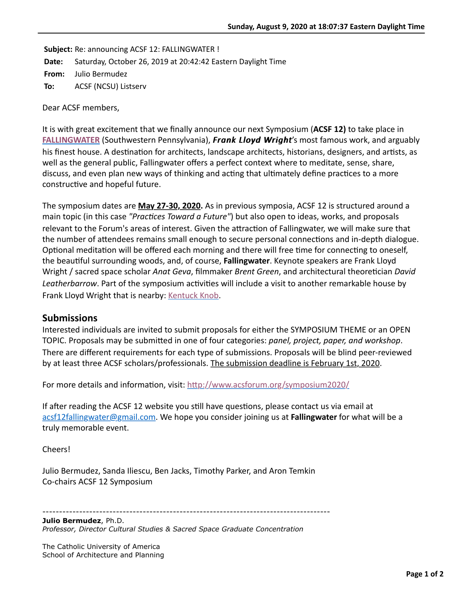**Subject:** Re: announcing ACSF 12: FALLINGWATER ! **Date:** Saturday, October 26, 2019 at 20:42:42 Eastern Daylight Time **From:** Julio Bermudez **To:** ACSF (NCSU) Listserv

Dear ACSF members,

It is with great excitement that we finally announce our next Symposium (**ACSF 12)** to take place in **[FALLINGWATER](https://fallingwater.org/)** (Southwestern Pennsylvania), *Frank Lloyd Wright Lloyd Wright*'s most famous work, and arguably his finest house. A destination for architects, landscape architects, historians, designers, and artists, as well as the general public, Fallingwater offers a perfect context where to meditate, sense, share, discuss, and even plan new ways of thinking and acting that ultimately define practices to a more constructive and hopeful future.

The symposium dates are **May 27-30, 2020.** As in previous symposia, ACSF 12 is structured around a main topic (in this case *"Practices Toward a Future"*) but also open to ideas, works, and proposals relevant to the Forum's areas of interest. Given the attraction of Fallingwater, we will make sure that the number of attendees remains small enough to secure personal connections and in-depth dialogue. Optional meditation will be offered each morning and there will free time for connecting to oneself, the beautiful surrounding woods, and, of course, **Fallingwater**. Keynote speakers are Frank Lloyd Wright / sacred space scholar *Anat Geva*, filmmaker *Brent Green*, and architectural theoretician *David Leatherbarrow*. Part of the symposium activities will include a visit to another remarkable house by Frank Lloyd Wright that is nearby: [Kentuck Knob](https://kentuckknob.com/).

## **Submissions**

Interested individuals are invited to submit proposals for either the SYMPOSIUM THEME or an OPEN TOPIC. Proposals may be submitted in one of four categories: *panel, project, paper, and workshop*. There are different requirements for each type of submissions. Proposals will be blind peer-reviewed by at least three ACSF scholars/professionals. The submission deadline is February 1st, 2020.

For more details and information, visit: http://www.acsforum.org/symposium2020/

If after reading the ACSF 12 website you still have questions, please contact us via email at [acsf12fallingwater@gmail.com.](mailto:acsf12fallingwater@gmail.com) We hope you consider joining us at **Fallingwater** for what will be a truly memorable event.

Cheers!

Julio Bermudez, Sanda Iliescu, Ben Jacks, Timothy Parker, and Aron Temkin Co-chairs ACSF 12 Symposium

--------------------------------------------------------------------------------------

**Julio Bermudez**, Ph.D. *Professor, Director Cultural Studies & Sacred Space Graduate Concentration*

The Catholic University of America School of Architecture and Planning